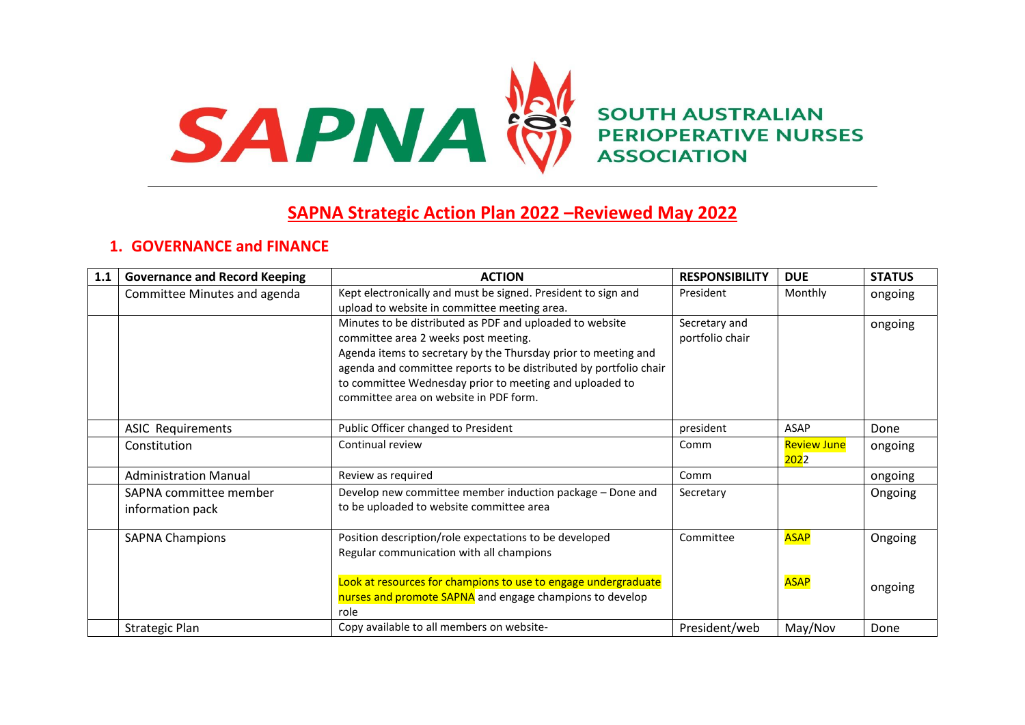

**SOUTH AUSTRALIAN PERIOPERATIVE NURSES ASSOCIATION** 

# **SAPNA Strategic Action Plan 2022 –Reviewed May 2022**

# **1. GOVERNANCE and FINANCE**

| 1.1 | <b>Governance and Record Keeping</b>       | <b>ACTION</b>                                                                                                                                                                                                                                                                                                                                | <b>RESPONSIBILITY</b>            | <b>DUE</b>                         | <b>STATUS</b>      |
|-----|--------------------------------------------|----------------------------------------------------------------------------------------------------------------------------------------------------------------------------------------------------------------------------------------------------------------------------------------------------------------------------------------------|----------------------------------|------------------------------------|--------------------|
|     | Committee Minutes and agenda               | Kept electronically and must be signed. President to sign and<br>upload to website in committee meeting area.                                                                                                                                                                                                                                | President                        | Monthly                            | ongoing            |
|     |                                            | Minutes to be distributed as PDF and uploaded to website<br>committee area 2 weeks post meeting.<br>Agenda items to secretary by the Thursday prior to meeting and<br>agenda and committee reports to be distributed by portfolio chair<br>to committee Wednesday prior to meeting and uploaded to<br>committee area on website in PDF form. | Secretary and<br>portfolio chair |                                    | ongoing            |
|     | <b>ASIC Requirements</b>                   | Public Officer changed to President                                                                                                                                                                                                                                                                                                          | president                        | <b>ASAP</b>                        | Done               |
|     | Constitution                               | Continual review                                                                                                                                                                                                                                                                                                                             | Comm                             | <b>Review June</b><br><b>202</b> 2 | ongoing            |
|     | <b>Administration Manual</b>               | Review as required                                                                                                                                                                                                                                                                                                                           | Comm                             |                                    | ongoing            |
|     | SAPNA committee member<br>information pack | Develop new committee member induction package - Done and<br>to be uploaded to website committee area                                                                                                                                                                                                                                        | Secretary                        |                                    | Ongoing            |
|     | <b>SAPNA Champions</b>                     | Position description/role expectations to be developed<br>Regular communication with all champions<br>Look at resources for champions to use to engage undergraduate<br>nurses and promote SAPNA and engage champions to develop<br>role                                                                                                     | Committee                        | <b>ASAP</b><br><b>ASAP</b>         | Ongoing<br>ongoing |
|     | <b>Strategic Plan</b>                      | Copy available to all members on website-                                                                                                                                                                                                                                                                                                    | President/web                    | May/Nov                            | Done               |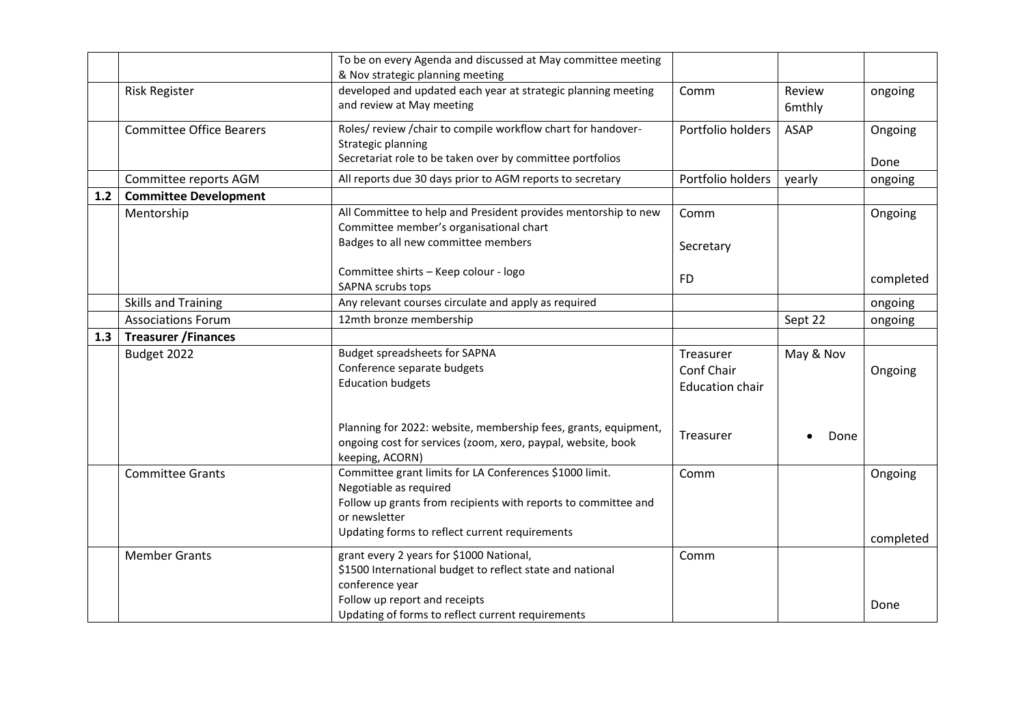|     |                                 | To be on every Agenda and discussed at May committee meeting                                                                                                                                                           |                                                   |                  |                      |
|-----|---------------------------------|------------------------------------------------------------------------------------------------------------------------------------------------------------------------------------------------------------------------|---------------------------------------------------|------------------|----------------------|
|     | <b>Risk Register</b>            | & Nov strategic planning meeting<br>developed and updated each year at strategic planning meeting<br>and review at May meeting                                                                                         | Comm                                              | Review<br>6mthly | ongoing              |
|     | <b>Committee Office Bearers</b> | Roles/review/chair to compile workflow chart for handover-<br>Strategic planning<br>Secretariat role to be taken over by committee portfolios                                                                          | Portfolio holders                                 | <b>ASAP</b>      | Ongoing<br>Done      |
|     | Committee reports AGM           | All reports due 30 days prior to AGM reports to secretary                                                                                                                                                              | Portfolio holders                                 | yearly           | ongoing              |
| 1.2 | <b>Committee Development</b>    |                                                                                                                                                                                                                        |                                                   |                  |                      |
|     | Mentorship                      | All Committee to help and President provides mentorship to new<br>Committee member's organisational chart<br>Badges to all new committee members                                                                       | Comm<br>Secretary                                 |                  | Ongoing              |
|     |                                 | Committee shirts - Keep colour - logo<br>SAPNA scrubs tops                                                                                                                                                             | <b>FD</b>                                         |                  | completed            |
|     | <b>Skills and Training</b>      | Any relevant courses circulate and apply as required                                                                                                                                                                   |                                                   |                  | ongoing              |
|     | <b>Associations Forum</b>       | 12mth bronze membership                                                                                                                                                                                                |                                                   | Sept 22          | ongoing              |
| 1.3 | <b>Treasurer / Finances</b>     |                                                                                                                                                                                                                        |                                                   |                  |                      |
|     | Budget 2022                     | <b>Budget spreadsheets for SAPNA</b><br>Conference separate budgets<br><b>Education budgets</b>                                                                                                                        | Treasurer<br>Conf Chair<br><b>Education chair</b> | May & Nov        | Ongoing              |
|     |                                 | Planning for 2022: website, membership fees, grants, equipment,<br>ongoing cost for services (zoom, xero, paypal, website, book<br>keeping, ACORN)                                                                     | Treasurer                                         | Done             |                      |
|     | <b>Committee Grants</b>         | Committee grant limits for LA Conferences \$1000 limit.<br>Negotiable as required<br>Follow up grants from recipients with reports to committee and<br>or newsletter<br>Updating forms to reflect current requirements | Comm                                              |                  | Ongoing<br>completed |
|     | <b>Member Grants</b>            | grant every 2 years for \$1000 National,<br>\$1500 International budget to reflect state and national<br>conference year<br>Follow up report and receipts<br>Updating of forms to reflect current requirements         | Comm                                              |                  | Done                 |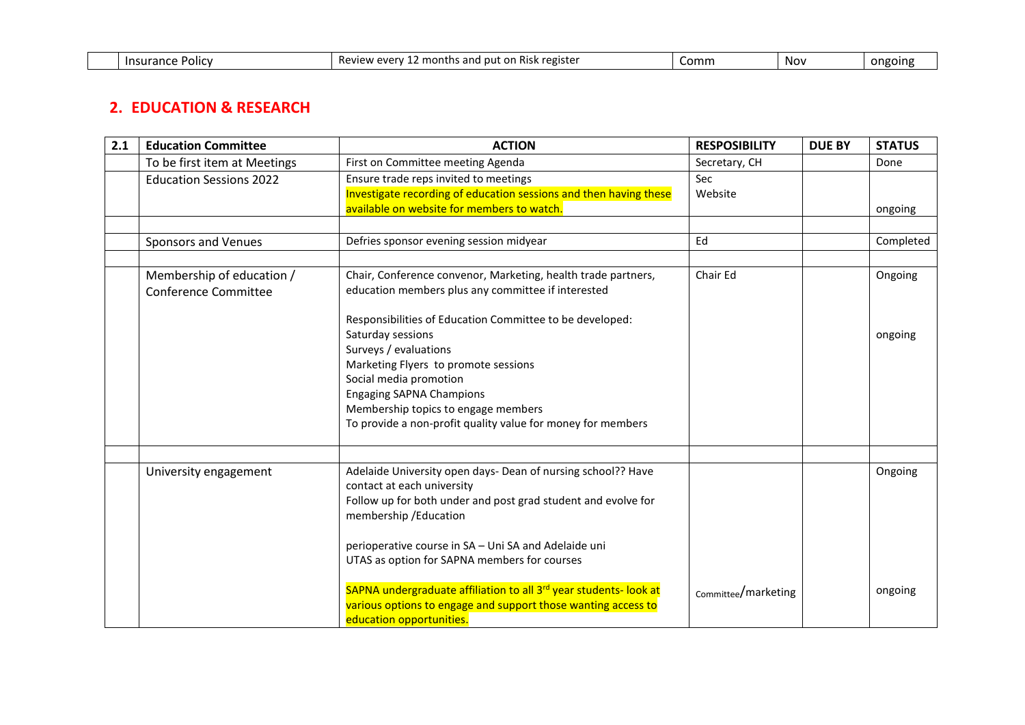| <b>Insurance</b><br><b>POIIC</b> | registe<br>ះ and<br>AVAM<br>∠ mor′<br>nut<br>Revie<br>۰۱۸<br>'NISN.<br>. .<br>しらいい | Comn | Nov | <b>ON</b> EQINE |
|----------------------------------|------------------------------------------------------------------------------------|------|-----|-----------------|

## **2. EDUCATION & RESEARCH**

| 2.1 | <b>Education Committee</b>                               | <b>ACTION</b>                                                                                                                                                                                                                                                                                                                                                                                                                                                   | <b>RESPOSIBILITY</b> | <b>DUE BY</b> | <b>STATUS</b>      |
|-----|----------------------------------------------------------|-----------------------------------------------------------------------------------------------------------------------------------------------------------------------------------------------------------------------------------------------------------------------------------------------------------------------------------------------------------------------------------------------------------------------------------------------------------------|----------------------|---------------|--------------------|
|     | To be first item at Meetings                             | First on Committee meeting Agenda                                                                                                                                                                                                                                                                                                                                                                                                                               | Secretary, CH        |               | Done               |
|     | <b>Education Sessions 2022</b>                           | Ensure trade reps invited to meetings<br>Investigate recording of education sessions and then having these<br>available on website for members to watch.                                                                                                                                                                                                                                                                                                        | Sec<br>Website       |               | ongoing            |
|     |                                                          |                                                                                                                                                                                                                                                                                                                                                                                                                                                                 |                      |               |                    |
|     | <b>Sponsors and Venues</b>                               | Defries sponsor evening session midyear                                                                                                                                                                                                                                                                                                                                                                                                                         | Ed                   |               | Completed          |
|     | Membership of education /<br><b>Conference Committee</b> | Chair, Conference convenor, Marketing, health trade partners,<br>education members plus any committee if interested<br>Responsibilities of Education Committee to be developed:<br>Saturday sessions<br>Surveys / evaluations<br>Marketing Flyers to promote sessions<br>Social media promotion<br><b>Engaging SAPNA Champions</b><br>Membership topics to engage members<br>To provide a non-profit quality value for money for members                        | Chair Ed             |               | Ongoing<br>ongoing |
|     | University engagement                                    | Adelaide University open days- Dean of nursing school?? Have<br>contact at each university<br>Follow up for both under and post grad student and evolve for<br>membership / Education<br>perioperative course in SA - Uni SA and Adelaide uni<br>UTAS as option for SAPNA members for courses<br>SAPNA undergraduate affiliation to all 3rd year students- look at<br>various options to engage and support those wanting access to<br>education opportunities. | Committee/marketing  |               | Ongoing<br>ongoing |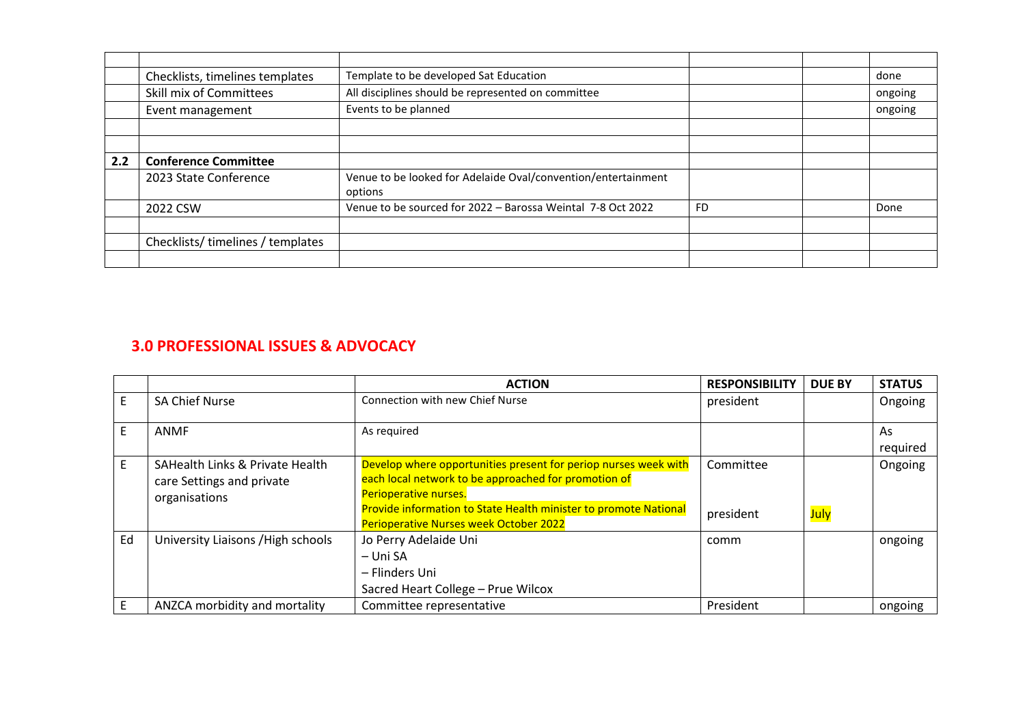|     | Checklists, timelines templates | Template to be developed Sat Education                        |           | done    |
|-----|---------------------------------|---------------------------------------------------------------|-----------|---------|
|     | Skill mix of Committees         | All disciplines should be represented on committee            |           | ongoing |
|     | Event management                | Events to be planned                                          |           | ongoing |
|     |                                 |                                                               |           |         |
|     |                                 |                                                               |           |         |
| 2.2 | <b>Conference Committee</b>     |                                                               |           |         |
|     | 2023 State Conference           | Venue to be looked for Adelaide Oval/convention/entertainment |           |         |
|     |                                 | options                                                       |           |         |
|     | 2022 CSW                        | Venue to be sourced for 2022 - Barossa Weintal 7-8 Oct 2022   | <b>FD</b> | Done    |
|     |                                 |                                                               |           |         |
|     | Checklists/timelines/templates  |                                                               |           |         |
|     |                                 |                                                               |           |         |

# **3.0 PROFESSIONAL ISSUES & ADVOCACY**

|    |                                                                               | <b>ACTION</b>                                                                                                                                                                                                                                                         | <b>RESPONSIBILITY</b>  | <b>DUE BY</b> | <b>STATUS</b>  |
|----|-------------------------------------------------------------------------------|-----------------------------------------------------------------------------------------------------------------------------------------------------------------------------------------------------------------------------------------------------------------------|------------------------|---------------|----------------|
|    | <b>SA Chief Nurse</b>                                                         | <b>Connection with new Chief Nurse</b>                                                                                                                                                                                                                                | president              |               | Ongoing        |
|    | ANMF                                                                          | As required                                                                                                                                                                                                                                                           |                        |               | As<br>required |
| E  | SAHealth Links & Private Health<br>care Settings and private<br>organisations | Develop where opportunities present for periop nurses week with<br>each local network to be approached for promotion of<br><b>Perioperative nurses.</b><br>Provide information to State Health minister to promote National<br>Perioperative Nurses week October 2022 | Committee<br>president | July          | Ongoing        |
| Ed | University Liaisons / High schools                                            | Jo Perry Adelaide Uni<br>– Uni SA<br>– Flinders Uni<br>Sacred Heart College - Prue Wilcox                                                                                                                                                                             | comm                   |               | ongoing        |
|    | ANZCA morbidity and mortality                                                 | Committee representative                                                                                                                                                                                                                                              | President              |               | ongoing        |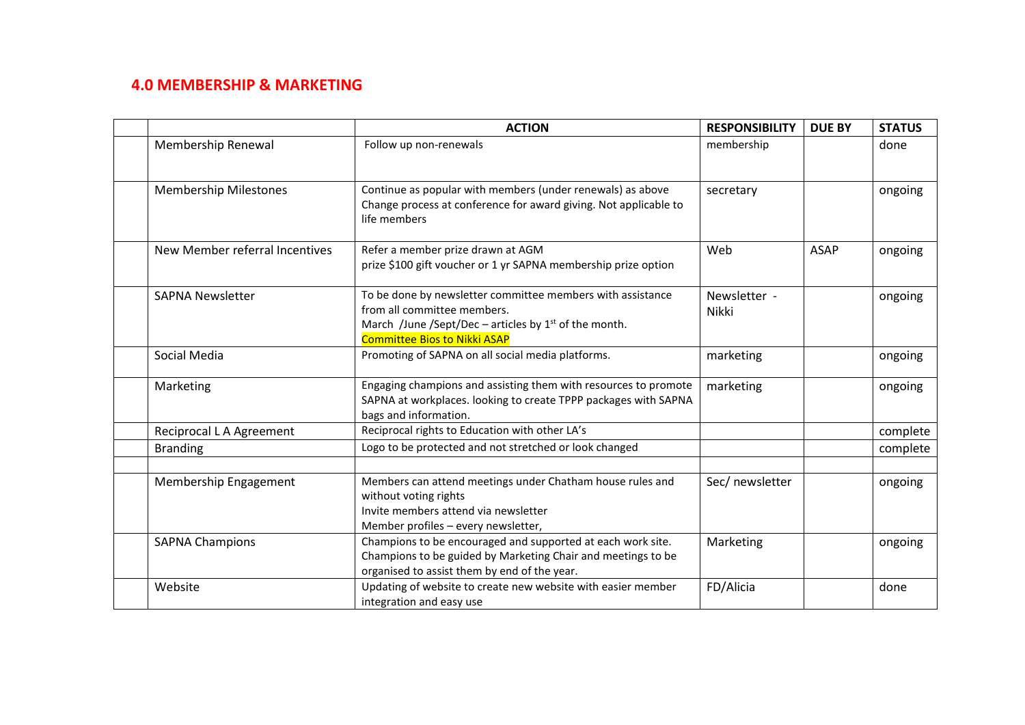# **4.0 MEMBERSHIP & MARKETING**

|                                | <b>ACTION</b>                                                                                                                                                                               | <b>RESPONSIBILITY</b>        | <b>DUE BY</b> | <b>STATUS</b> |
|--------------------------------|---------------------------------------------------------------------------------------------------------------------------------------------------------------------------------------------|------------------------------|---------------|---------------|
| Membership Renewal             | Follow up non-renewals                                                                                                                                                                      | membership                   |               | done          |
| <b>Membership Milestones</b>   | Continue as popular with members (under renewals) as above<br>Change process at conference for award giving. Not applicable to<br>life members                                              | secretary                    |               | ongoing       |
| New Member referral Incentives | Refer a member prize drawn at AGM<br>prize \$100 gift voucher or 1 yr SAPNA membership prize option                                                                                         | Web                          | <b>ASAP</b>   | ongoing       |
| <b>SAPNA Newsletter</b>        | To be done by newsletter committee members with assistance<br>from all committee members.<br>March /June /Sept/Dec – articles by $1st$ of the month.<br><b>Committee Bios to Nikki ASAP</b> | Newsletter -<br><b>Nikki</b> |               | ongoing       |
| Social Media                   | Promoting of SAPNA on all social media platforms.                                                                                                                                           | marketing                    |               | ongoing       |
| Marketing                      | Engaging champions and assisting them with resources to promote<br>SAPNA at workplaces. looking to create TPPP packages with SAPNA<br>bags and information.                                 | marketing                    |               | ongoing       |
| Reciprocal L A Agreement       | Reciprocal rights to Education with other LA's                                                                                                                                              |                              |               | complete      |
| <b>Branding</b>                | Logo to be protected and not stretched or look changed                                                                                                                                      |                              |               | complete      |
| Membership Engagement          | Members can attend meetings under Chatham house rules and<br>without voting rights<br>Invite members attend via newsletter<br>Member profiles - every newsletter,                           | Sec/ newsletter              |               | ongoing       |
| <b>SAPNA Champions</b>         | Champions to be encouraged and supported at each work site.<br>Champions to be guided by Marketing Chair and meetings to be<br>organised to assist them by end of the year.                 | Marketing                    |               | ongoing       |
| Website                        | Updating of website to create new website with easier member<br>integration and easy use                                                                                                    | FD/Alicia                    |               | done          |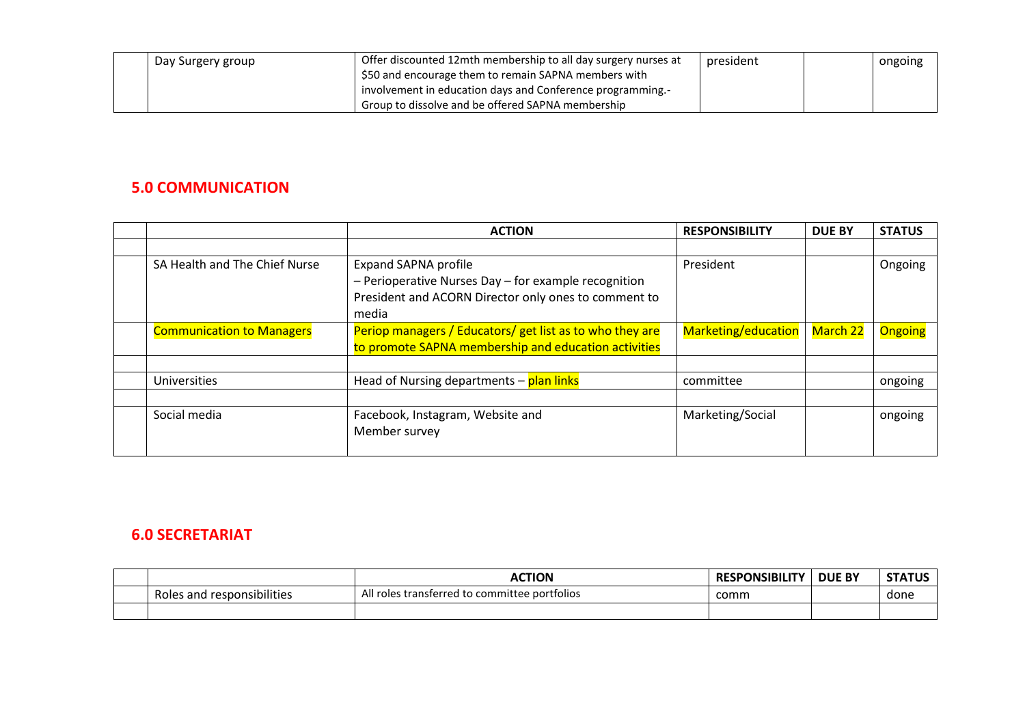| Day Surgery group | Offer discounted 12mth membership to all day surgery nurses at | president | ongoing |
|-------------------|----------------------------------------------------------------|-----------|---------|
|                   | \$50 and encourage them to remain SAPNA members with           |           |         |
|                   | involvement in education days and Conference programming.-     |           |         |
|                   | Group to dissolve and be offered SAPNA membership              |           |         |

### **5.0 COMMUNICATION**

|                                  | <b>ACTION</b>                                                                                                                                        | <b>RESPONSIBILITY</b> | <b>DUE BY</b>   | <b>STATUS</b>  |
|----------------------------------|------------------------------------------------------------------------------------------------------------------------------------------------------|-----------------------|-----------------|----------------|
|                                  |                                                                                                                                                      |                       |                 |                |
| SA Health and The Chief Nurse    | <b>Expand SAPNA profile</b><br>- Perioperative Nurses Day - for example recognition<br>President and ACORN Director only ones to comment to<br>media | President             |                 | Ongoing        |
| <b>Communication to Managers</b> | Periop managers / Educators/ get list as to who they are<br>to promote SAPNA membership and education activities                                     | Marketing/education   | <b>March 22</b> | <b>Ongoing</b> |
|                                  |                                                                                                                                                      |                       |                 |                |
| Universities                     | Head of Nursing departments - plan links                                                                                                             | committee             |                 | ongoing        |
|                                  |                                                                                                                                                      |                       |                 |                |
| Social media                     | Facebook, Instagram, Website and<br>Member survey                                                                                                    | Marketing/Social      |                 | ongoing        |

#### **6.0 SECRETARIAT**

|                                      | <b>ACTION</b>                                                     | <b>RESPONSIBILITY</b> | <b>DUE BY</b> | <b>STATUS</b><br>- |
|--------------------------------------|-------------------------------------------------------------------|-----------------------|---------------|--------------------|
| .<br>Roles<br>; and responsibilities | - 11<br>d to committee portfolios<br>l roles transferred :<br>AII | .comm                 |               | done               |
|                                      |                                                                   |                       |               |                    |